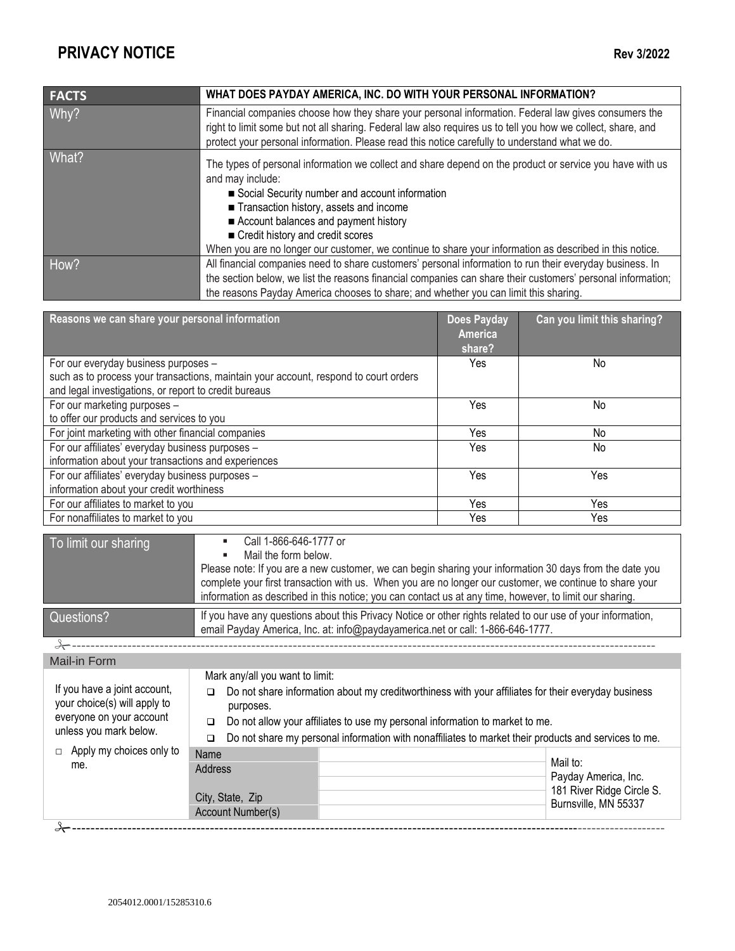| <b>FACTS</b> | WHAT DOES PAYDAY AMERICA, INC. DO WITH YOUR PERSONAL INFORMATION?                                                                                                                                                                                                                                                                                                                                               |
|--------------|-----------------------------------------------------------------------------------------------------------------------------------------------------------------------------------------------------------------------------------------------------------------------------------------------------------------------------------------------------------------------------------------------------------------|
| Why?         | Financial companies choose how they share your personal information. Federal law gives consumers the<br>right to limit some but not all sharing. Federal law also requires us to tell you how we collect, share, and<br>protect your personal information. Please read this notice carefully to understand what we do.                                                                                          |
| What?        | The types of personal information we collect and share depend on the product or service you have with us<br>and may include:<br>Social Security number and account information<br>Transaction history, assets and income<br>Account balances and payment history<br>Credit history and credit scores<br>When you are no longer our customer, we continue to share your information as described in this notice. |
| How?         | All financial companies need to share customers' personal information to run their everyday business. In<br>the section below, we list the reasons financial companies can share their customers' personal information;<br>the reasons Payday America chooses to share; and whether you can limit this sharing.                                                                                                 |

| Reasons we can share your personal information                                       | <b>Does Payday</b><br>America | Can you limit this sharing? |
|--------------------------------------------------------------------------------------|-------------------------------|-----------------------------|
|                                                                                      | share?                        |                             |
| For our everyday business purposes -                                                 | Yes                           | No                          |
| such as to process your transactions, maintain your account, respond to court orders |                               |                             |
| and legal investigations, or report to credit bureaus                                |                               |                             |
| For our marketing purposes -                                                         | Yes                           | No.                         |
| to offer our products and services to you                                            |                               |                             |
| For joint marketing with other financial companies                                   | Yes                           | No                          |
| For our affiliates' everyday business purposes -                                     | Yes                           | No                          |
| information about your transactions and experiences                                  |                               |                             |
| For our affiliates' everyday business purposes -                                     | Yes                           | Yes                         |
| information about your credit worthiness                                             |                               |                             |
| For our affiliates to market to you                                                  | Yes                           | Yes                         |
| For nonaffiliates to market to you                                                   | Yes                           | Yes                         |

| To limit our sharing | Call 1-866-646-1777 or<br>Mail the form below.<br>Please note: If you are a new customer, we can begin sharing your information 30 days from the date you<br>complete your first transaction with us. When you are no longer our customer, we continue to share your<br>information as described in this notice; you can contact us at any time, however, to limit our sharing. |
|----------------------|---------------------------------------------------------------------------------------------------------------------------------------------------------------------------------------------------------------------------------------------------------------------------------------------------------------------------------------------------------------------------------|
| Questions?           | If you have any questions about this Privacy Notice or other rights related to our use of your information,<br>email Payday America, Inc. at: info@paydayamerica.net or call: 1-866-646-1777.                                                                                                                                                                                   |

| Mail-in Form                                                                                                                                                    |                                                                                                                                                                                                                                                                                                                                                                           |                                                                                       |  |
|-----------------------------------------------------------------------------------------------------------------------------------------------------------------|---------------------------------------------------------------------------------------------------------------------------------------------------------------------------------------------------------------------------------------------------------------------------------------------------------------------------------------------------------------------------|---------------------------------------------------------------------------------------|--|
| If you have a joint account,<br>your choice(s) will apply to<br>everyone on your account<br>unless you mark below.<br>Apply my choices only to<br>$\Box$<br>me. | Mark any/all you want to limit:<br>Do not share information about my creditworthiness with your affiliates for their everyday business<br>$\Box$<br>purposes.<br>Do not allow your affiliates to use my personal information to market to me.<br>$\Box$<br>Do not share my personal information with nonaffiliates to market their products and services to me.<br>$\Box$ |                                                                                       |  |
|                                                                                                                                                                 | Name<br>Address<br>City, State, Zip<br>Account Number(s)                                                                                                                                                                                                                                                                                                                  | Mail to:<br>Payday America, Inc.<br>181 River Ridge Circle S.<br>Burnsville, MN 55337 |  |
|                                                                                                                                                                 |                                                                                                                                                                                                                                                                                                                                                                           |                                                                                       |  |